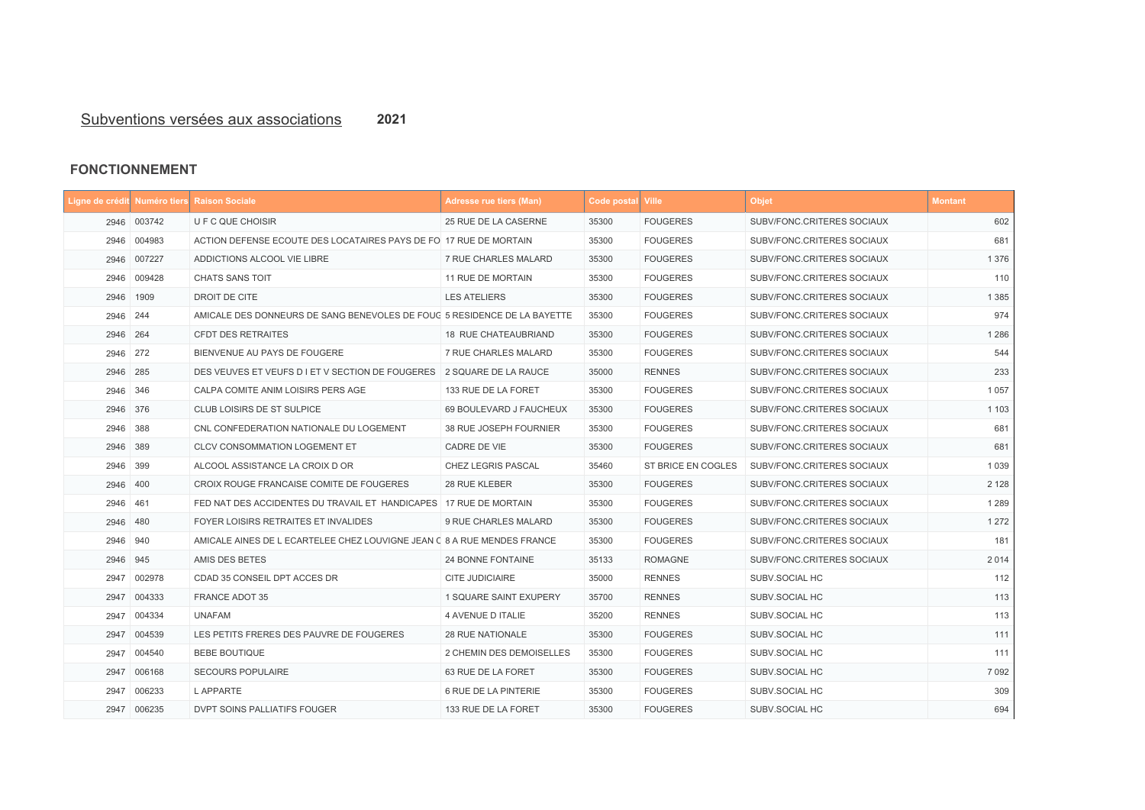## **FONCTIONNEMENT**

## Subventions versées aux associations

|          |             | Ligne de crédit Numéro tiers Raison Sociale                              | <b>Adresse rue tiers (Man)</b> | Code postal Ville |                    | <b>Objet</b>               | <b>Montant</b> |
|----------|-------------|--------------------------------------------------------------------------|--------------------------------|-------------------|--------------------|----------------------------|----------------|
|          | 2946 003742 | U F C QUE CHOISIR                                                        | 25 RUE DE LA CASERNE           | 35300             | <b>FOUGERES</b>    | SUBV/FONC.CRITERES SOCIAUX | 602            |
| 2946     | 004983      | ACTION DEFENSE ECOUTE DES LOCATAIRES PAYS DE FO 17 RUE DE MORTAIN        |                                | 35300             | <b>FOUGERES</b>    | SUBV/FONC.CRITERES SOCIAUX | 681            |
| 2946     | 007227      | ADDICTIONS ALCOOL VIE LIBRE                                              | 7 RUE CHARLES MALARD           | 35300             | <b>FOUGERES</b>    | SUBV/FONC.CRITERES SOCIAUX | 1 3 7 6        |
| 2946     | 009428      | <b>CHATS SANS TOIT</b>                                                   | 11 RUE DE MORTAIN              | 35300             | <b>FOUGERES</b>    | SUBV/FONC.CRITERES SOCIAUX | 110            |
|          | 2946 1909   | DROIT DE CITE                                                            | <b>LES ATELIERS</b>            | 35300             | <b>FOUGERES</b>    | SUBV/FONC.CRITERES SOCIAUX | 1 3 8 5        |
| 2946 244 |             | AMICALE DES DONNEURS DE SANG BENEVOLES DE FOUC 5 RESIDENCE DE LA BAYETTE |                                | 35300             | <b>FOUGERES</b>    | SUBV/FONC.CRITERES SOCIAUX | 974            |
| 2946 264 |             | <b>CFDT DES RETRAITES</b>                                                | <b>18 RUE CHATEAUBRIAND</b>    | 35300             | <b>FOUGERES</b>    | SUBV/FONC.CRITERES SOCIAUX | 1 2 8 6        |
| 2946 272 |             | BIENVENUE AU PAYS DE FOUGERE                                             | 7 RUE CHARLES MALARD           | 35300             | <b>FOUGERES</b>    | SUBV/FONC.CRITERES SOCIAUX | 544            |
| 2946 285 |             | DES VEUVES ET VEUFS D I ET V SECTION DE FOUGERES   2 SQUARE DE LA RAUCE  |                                | 35000             | <b>RENNES</b>      | SUBV/FONC.CRITERES SOCIAUX | 233            |
| 2946 346 |             | CALPA COMITE ANIM LOISIRS PERS AGE                                       | 133 RUE DE LA FORET            | 35300             | <b>FOUGERES</b>    | SUBV/FONC.CRITERES SOCIAUX | 1 0 5 7        |
| 2946 376 |             | CLUB LOISIRS DE ST SULPICE                                               | 69 BOULEVARD J FAUCHEUX        | 35300             | <b>FOUGERES</b>    | SUBV/FONC.CRITERES SOCIAUX | 1 1 0 3        |
| 2946     | 388         | CNL CONFEDERATION NATIONALE DU LOGEMENT                                  | 38 RUE JOSEPH FOURNIER         | 35300             | <b>FOUGERES</b>    | SUBV/FONC.CRITERES SOCIAUX | 681            |
| 2946 389 |             | <b>CLCV CONSOMMATION LOGEMENT ET</b>                                     | CADRE DE VIE                   | 35300             | <b>FOUGERES</b>    | SUBV/FONC.CRITERES SOCIAUX | 681            |
| 2946     | 399         | ALCOOL ASSISTANCE LA CROIX D OR                                          | CHEZ LEGRIS PASCAL             | 35460             | ST BRICE EN COGLES | SUBV/FONC.CRITERES SOCIAUX | 1 0 3 9        |
| 2946 400 |             | CROIX ROUGE FRANCAISE COMITE DE FOUGERES                                 | 28 RUE KLEBER                  | 35300             | <b>FOUGERES</b>    | SUBV/FONC.CRITERES SOCIAUX | 2 1 2 8        |
| 2946 461 |             | FED NAT DES ACCIDENTES DU TRAVAIL ET HANDICAPES 17 RUE DE MORTAIN        |                                | 35300             | <b>FOUGERES</b>    | SUBV/FONC.CRITERES SOCIAUX | 1 2 8 9        |
| 2946 480 |             | FOYER LOISIRS RETRAITES ET INVALIDES                                     | 9 RUE CHARLES MALARD           | 35300             | <b>FOUGERES</b>    | SUBV/FONC.CRITERES SOCIAUX | 1 2 7 2        |
| 2946 940 |             | AMICALE AINES DE L ECARTELEE CHEZ LOUVIGNE JEAN C 8 A RUE MENDES FRANCE  |                                | 35300             | <b>FOUGERES</b>    | SUBV/FONC.CRITERES SOCIAUX | 181            |
| 2946 945 |             | AMIS DES BETES                                                           | <b>24 BONNE FONTAINE</b>       | 35133             | <b>ROMAGNE</b>     | SUBV/FONC.CRITERES SOCIAUX | 2014           |
| 2947     | 002978      | CDAD 35 CONSEIL DPT ACCES DR                                             | <b>CITE JUDICIAIRE</b>         | 35000             | <b>RENNES</b>      | SUBV.SOCIAL HC             | 112            |
| 2947     | 004333      | <b>FRANCE ADOT 35</b>                                                    | 1 SQUARE SAINT EXUPERY         | 35700             | <b>RENNES</b>      | SUBV.SOCIAL HC             | 113            |
|          | 2947 004334 | <b>UNAFAM</b>                                                            | 4 AVENUE D ITALIE              | 35200             | <b>RENNES</b>      | SUBV.SOCIAL HC             | 113            |
|          | 2947 004539 | LES PETITS FRERES DES PAUVRE DE FOUGERES                                 | 28 RUE NATIONALE               | 35300             | <b>FOUGERES</b>    | SUBV.SOCIAL HC             | 111            |
|          | 2947 004540 | <b>BEBE BOUTIQUE</b>                                                     | 2 CHEMIN DES DEMOISELLES       | 35300             | <b>FOUGERES</b>    | SUBV.SOCIAL HC             | 111            |
|          | 2947 006168 | <b>SECOURS POPULAIRE</b>                                                 | 63 RUE DE LA FORET             | 35300             | <b>FOUGERES</b>    | SUBV.SOCIAL HC             | 7 0 9 2        |
|          | 2947 006233 | L APPARTE                                                                | 6 RUE DE LA PINTERIE           | 35300             | <b>FOUGERES</b>    | SUBV.SOCIAL HC             | 309            |
|          | 2947 006235 | DVPT SOINS PALLIATIFS FOUGER                                             | 133 RUE DE LA FORET            | 35300             | <b>FOUGERES</b>    | SUBV.SOCIAL HC             | 694            |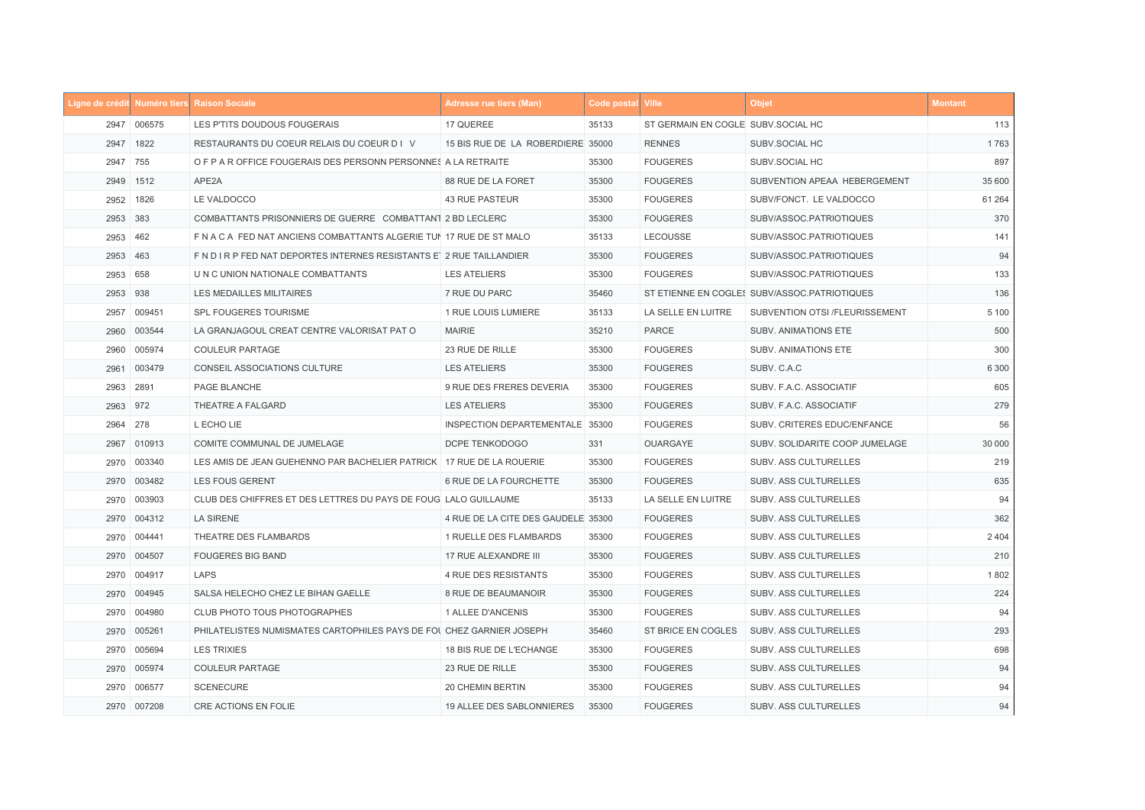|          |             | Ligne de crédit Numéro tiers Raison Sociale                            | <b>Adresse rue tiers (Man)</b>     | <b>Code postal Ville</b> |                                    | <b>Objet</b>                                 | <b>Montant</b> |
|----------|-------------|------------------------------------------------------------------------|------------------------------------|--------------------------|------------------------------------|----------------------------------------------|----------------|
|          | 2947 006575 | LES P'TITS DOUDOUS FOUGERAIS                                           | 17 QUEREE                          | 35133                    | ST GERMAIN EN COGLE SUBV.SOCIAL HC |                                              | 113            |
|          | 2947 1822   | RESTAURANTS DU COEUR RELAIS DU COEUR D I V                             | 15 BIS RUE DE LA ROBERDIERE 35000  |                          | <b>RENNES</b>                      | SUBV.SOCIAL HC                               | 1763           |
| 2947 755 |             | O F P A R OFFICE FOUGERAIS DES PERSONN PERSONNES A LA RETRAITE         |                                    | 35300                    | <b>FOUGERES</b>                    | SUBV.SOCIAL HC                               | 897            |
|          | 2949 1512   | APE2A                                                                  | 88 RUE DE LA FORET                 | 35300                    | <b>FOUGERES</b>                    | SUBVENTION APEAA HEBERGEMENT                 | 35 600         |
|          | 2952 1826   | LE VALDOCCO                                                            | <b>43 RUE PASTEUR</b>              | 35300                    | <b>FOUGERES</b>                    | SUBV/FONCT. LE VALDOCCO                      | 61 264         |
| 2953 383 |             | COMBATTANTS PRISONNIERS DE GUERRE COMBATTANT 2 BD LECLERC              |                                    | 35300                    | <b>FOUGERES</b>                    | SUBV/ASSOC.PATRIOTIQUES                      | 370            |
| 2953     | 462         | F N A C A FED NAT ANCIENS COMBATTANTS ALGERIE TUI 17 RUE DE ST MALO    |                                    | 35133                    | LECOUSSE                           | SUBV/ASSOC.PATRIOTIQUES                      | 141            |
| 2953     | 463         | F N D I R P FED NAT DEPORTES INTERNES RESISTANTS ET 2 RUE TAILLANDIER  |                                    | 35300                    | <b>FOUGERES</b>                    | SUBV/ASSOC.PATRIOTIQUES                      | 94             |
| 2953     | 658         | U N C UNION NATIONALE COMBATTANTS                                      | <b>LES ATELIERS</b>                | 35300                    | <b>FOUGERES</b>                    | SUBV/ASSOC.PATRIOTIQUES                      | 133            |
| 2953 938 |             | LES MEDAILLES MILITAIRES                                               | 7 RUE DU PARC                      | 35460                    |                                    | ST ETIENNE EN COGLES SUBV/ASSOC.PATRIOTIQUES | 136            |
| 2957     | 009451      | SPL FOUGERES TOURISME                                                  | 1 RUE LOUIS LUMIERE                | 35133                    | LA SELLE EN LUITRE                 | SUBVENTION OTSI /FLEURISSEMENT               | 5 100          |
| 2960     | 003544      | LA GRANJAGOUL CREAT CENTRE VALORISAT PAT O                             | <b>MAIRIE</b>                      | 35210                    | <b>PARCE</b>                       | SUBV. ANIMATIONS ETE                         | 500            |
|          | 2960 005974 | <b>COULEUR PARTAGE</b>                                                 | 23 RUE DE RILLE                    | 35300                    | <b>FOUGERES</b>                    | SUBV. ANIMATIONS ETE                         | 300            |
| 2961     | 003479      | <b>CONSEIL ASSOCIATIONS CULTURE</b>                                    | <b>LES ATELIERS</b>                | 35300                    | <b>FOUGERES</b>                    | SUBV. C.A.C                                  | 6 3 0 0        |
| 2963     | 2891        | PAGE BLANCHE                                                           | 9 RUE DES FRERES DEVERIA           | 35300                    | <b>FOUGERES</b>                    | SUBV. F.A.C. ASSOCIATIF                      | 605            |
| 2963     | 972         | THEATRE A FALGARD                                                      | <b>LES ATELIERS</b>                | 35300                    | <b>FOUGERES</b>                    | SUBV. F.A.C. ASSOCIATIF                      | 279            |
| 2964     | 278         | L ECHO LIE                                                             | INSPECTION DEPARTEMENTALE 35300    |                          | <b>FOUGERES</b>                    | SUBV. CRITERES EDUC/ENFANCE                  | 56             |
| 2967     | 010913      | COMITE COMMUNAL DE JUMELAGE                                            | DCPE TENKODOGO                     | 331                      | OUARGAYE                           | SUBV. SOLIDARITE COOP JUMELAGE               | 30 000         |
| 2970     | 003340      | LES AMIS DE JEAN GUEHENNO PAR BACHELIER PATRICK   17 RUE DE LA ROUERIE |                                    | 35300                    | <b>FOUGERES</b>                    | SUBV. ASS CULTURELLES                        | 219            |
| 2970     | 003482      | LES FOUS GERENT                                                        | 6 RUE DE LA FOURCHETTE             | 35300                    | <b>FOUGERES</b>                    | SUBV. ASS CULTURELLES                        | 635            |
|          | 2970 003903 | CLUB DES CHIFFRES ET DES LETTRES DU PAYS DE FOUG LALO GUILLAUME        |                                    | 35133                    | LA SELLE EN LUITRE                 | SUBV. ASS CULTURELLES                        | 94             |
|          | 2970 004312 | <b>LA SIRENE</b>                                                       | 4 RUE DE LA CITE DES GAUDELE 35300 |                          | <b>FOUGERES</b>                    | SUBV. ASS CULTURELLES                        | 362            |
|          | 2970 004441 | THEATRE DES FLAMBARDS                                                  | 1 RUELLE DES FLAMBARDS             | 35300                    | <b>FOUGERES</b>                    | SUBV. ASS CULTURELLES                        | 2 4 0 4        |
|          | 2970 004507 | <b>FOUGERES BIG BAND</b>                                               | 17 RUE ALEXANDRE III               | 35300                    | <b>FOUGERES</b>                    | SUBV. ASS CULTURELLES                        | 210            |
|          | 2970 004917 | LAPS                                                                   | 4 RUE DES RESISTANTS               | 35300                    | <b>FOUGERES</b>                    | SUBV. ASS CULTURELLES                        | 1802           |
|          | 2970 004945 | SALSA HELECHO CHEZ LE BIHAN GAELLE                                     | 8 RUE DE BEAUMANOIR                | 35300                    | <b>FOUGERES</b>                    | SUBV. ASS CULTURELLES                        | 224            |
|          | 2970 004980 | <b>CLUB PHOTO TOUS PHOTOGRAPHES</b>                                    | 1 ALLEE D'ANCENIS                  | 35300                    | <b>FOUGERES</b>                    | SUBV. ASS CULTURELLES                        | 94             |
|          | 2970 005261 | PHILATELISTES NUMISMATES CARTOPHILES PAYS DE FOI CHEZ GARNIER JOSEPH   |                                    | 35460                    | ST BRICE EN COGLES                 | SUBV. ASS CULTURELLES                        | 293            |
|          | 2970 005694 | <b>LES TRIXIES</b>                                                     | 18 BIS RUE DE L'ECHANGE            | 35300                    | <b>FOUGERES</b>                    | SUBV. ASS CULTURELLES                        | 698            |
|          | 2970 005974 | <b>COULEUR PARTAGE</b>                                                 | 23 RUE DE RILLE                    | 35300                    | <b>FOUGERES</b>                    | SUBV. ASS CULTURELLES                        | 94             |
|          | 2970 006577 | <b>SCENECURE</b>                                                       | 20 CHEMIN BERTIN                   | 35300                    | <b>FOUGERES</b>                    | SUBV. ASS CULTURELLES                        | 94             |
|          | 2970 007208 | CRE ACTIONS EN FOLIE                                                   | 19 ALLEE DES SABLONNIERES          | 35300                    | <b>FOUGERES</b>                    | SUBV. ASS CULTURELLES                        | 94             |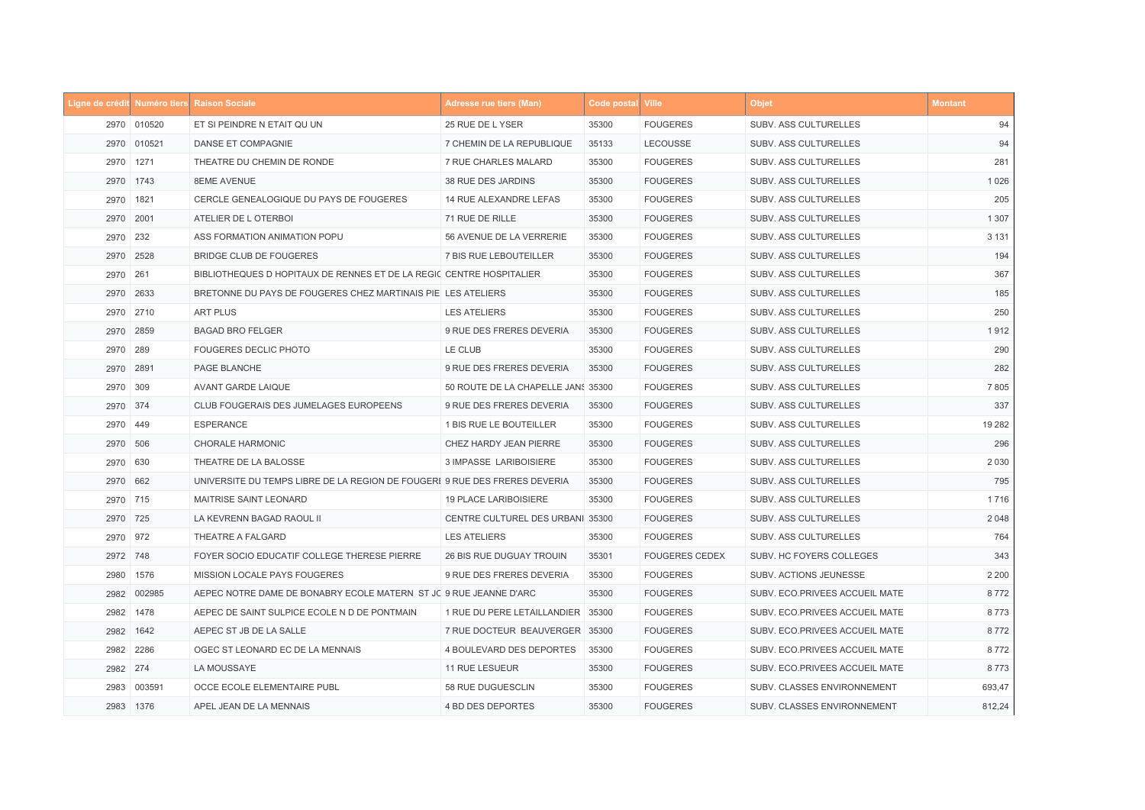|      |             | Ligne de crédit Numéro tiers Raison Sociale                                | <b>Adresse rue tiers (Man)</b>     | Code postal Ville |                       | <b>Objet</b>                   | <b>Montant</b> |
|------|-------------|----------------------------------------------------------------------------|------------------------------------|-------------------|-----------------------|--------------------------------|----------------|
|      | 2970 010520 | ET SI PEINDRE N ETAIT QU UN                                                | 25 RUE DE L YSER                   | 35300             | <b>FOUGERES</b>       | SUBV. ASS CULTURELLES          | 94             |
|      | 2970 010521 | DANSE ET COMPAGNIE                                                         | 7 CHEMIN DE LA REPUBLIQUE          | 35133             | LECOUSSE              | SUBV. ASS CULTURELLES          | 94             |
|      | 2970 1271   | THEATRE DU CHEMIN DE RONDE                                                 | 7 RUE CHARLES MALARD               | 35300             | <b>FOUGERES</b>       | SUBV. ASS CULTURELLES          | 281            |
|      | 2970 1743   | <b>8EME AVENUE</b>                                                         | 38 RUE DES JARDINS                 | 35300             | <b>FOUGERES</b>       | SUBV. ASS CULTURELLES          | 1 0 2 6        |
|      | 2970 1821   | CERCLE GENEALOGIQUE DU PAYS DE FOUGERES                                    | 14 RUE ALEXANDRE LEFAS             | 35300             | <b>FOUGERES</b>       | SUBV. ASS CULTURELLES          | 205            |
|      | 2970 2001   | ATELIER DE L OTERBOI                                                       | 71 RUE DE RILLE                    | 35300             | <b>FOUGERES</b>       | SUBV. ASS CULTURELLES          | 1 3 0 7        |
|      | 2970 232    | ASS FORMATION ANIMATION POPU                                               | 56 AVENUE DE LA VERRERIE           | 35300             | <b>FOUGERES</b>       | SUBV. ASS CULTURELLES          | 3 1 3 1        |
| 2970 | 2528        | BRIDGE CLUB DE FOUGERES                                                    | 7 BIS RUE LEBOUTEILLER             | 35300             | <b>FOUGERES</b>       | SUBV. ASS CULTURELLES          | 194            |
| 2970 | 261         | BIBLIOTHEQUES D HOPITAUX DE RENNES ET DE LA REGIC CENTRE HOSPITALIER       |                                    | 35300             | <b>FOUGERES</b>       | SUBV. ASS CULTURELLES          | 367            |
|      | 2970 2633   | BRETONNE DU PAYS DE FOUGERES CHEZ MARTINAIS PIE LES ATELIERS               |                                    | 35300             | <b>FOUGERES</b>       | SUBV. ASS CULTURELLES          | 185            |
|      | 2970 2710   | <b>ART PLUS</b>                                                            | <b>LES ATELIERS</b>                | 35300             | <b>FOUGERES</b>       | SUBV. ASS CULTURELLES          | 250            |
|      | 2970 2859   | <b>BAGAD BRO FELGER</b>                                                    | 9 RUE DES FRERES DEVERIA           | 35300             | <b>FOUGERES</b>       | SUBV. ASS CULTURELLES          | 1912           |
| 2970 | 289         | FOUGERES DECLIC PHOTO                                                      | LE CLUB                            | 35300             | <b>FOUGERES</b>       | SUBV. ASS CULTURELLES          | 290            |
|      | 2970 2891   | PAGE BLANCHE                                                               | 9 RUE DES FRERES DEVERIA           | 35300             | <b>FOUGERES</b>       | SUBV. ASS CULTURELLES          | 282            |
|      | 2970 309    | AVANT GARDE LAIQUE                                                         | 50 ROUTE DE LA CHAPELLE JANS 35300 |                   | <b>FOUGERES</b>       | SUBV. ASS CULTURELLES          | 7805           |
|      | 2970 374    | CLUB FOUGERAIS DES JUMELAGES EUROPEENS                                     | 9 RUE DES FRERES DEVERIA           | 35300             | <b>FOUGERES</b>       | SUBV. ASS CULTURELLES          | 337            |
|      | 2970 449    | <b>ESPERANCE</b>                                                           | 1 BIS RUE LE BOUTEILLER            | 35300             | <b>FOUGERES</b>       | SUBV. ASS CULTURELLES          | 19 28 2        |
|      | 2970 506    | <b>CHORALE HARMONIC</b>                                                    | CHEZ HARDY JEAN PIERRE             | 35300             | <b>FOUGERES</b>       | SUBV. ASS CULTURELLES          | 296            |
|      | 2970 630    | THEATRE DE LA BALOSSE                                                      | 3 IMPASSE LARIBOISIERE             | 35300             | <b>FOUGERES</b>       | SUBV. ASS CULTURELLES          | 2 0 3 0        |
|      | 2970 662    | UNIVERSITE DU TEMPS LIBRE DE LA REGION DE FOUGERI 9 RUE DES FRERES DEVERIA |                                    | 35300             | <b>FOUGERES</b>       | SUBV. ASS CULTURELLES          | 795            |
|      | 2970 715    | MAITRISE SAINT LEONARD                                                     | <b>19 PLACE LARIBOISIERE</b>       | 35300             | <b>FOUGERES</b>       | SUBV. ASS CULTURELLES          | 1716           |
|      | 2970 725    | LA KEVRENN BAGAD RAOUL II                                                  | CENTRE CULTUREL DES URBANI 35300   |                   | <b>FOUGERES</b>       | SUBV. ASS CULTURELLES          | 2 0 4 8        |
|      | 2970 972    | THEATRE A FALGARD                                                          | <b>LES ATELIERS</b>                | 35300             | <b>FOUGERES</b>       | SUBV. ASS CULTURELLES          | 764            |
|      | 2972 748    | FOYER SOCIO EDUCATIF COLLEGE THERESE PIERRE                                | 26 BIS RUE DUGUAY TROUIN           | 35301             | <b>FOUGERES CEDEX</b> | SUBV. HC FOYERS COLLEGES       | 343            |
|      | 2980 1576   | MISSION LOCALE PAYS FOUGERES                                               | 9 RUE DES FRERES DEVERIA           | 35300             | <b>FOUGERES</b>       | SUBV. ACTIONS JEUNESSE         | 2 2 0 0        |
|      | 2982 002985 | AEPEC NOTRE DAME DE BONABRY ECOLE MATERN ST JC 9 RUE JEANNE D'ARC          |                                    | 35300             | <b>FOUGERES</b>       | SUBV. ECO.PRIVEES ACCUEIL MATE | 8772           |
|      | 2982 1478   | AEPEC DE SAINT SULPICE ECOLE N D DE PONTMAIN                               | 1 RUE DU PERE LETAILLANDIER 35300  |                   | <b>FOUGERES</b>       | SUBV. ECO.PRIVEES ACCUEIL MATE | 8773           |
|      | 2982 1642   | AEPEC ST JB DE LA SALLE                                                    | 7 RUE DOCTEUR BEAUVERGER 35300     |                   | <b>FOUGERES</b>       | SUBV. ECO.PRIVEES ACCUEIL MATE | 8772           |
|      | 2982 2286   | OGEC ST LEONARD EC DE LA MENNAIS                                           | 4 BOULEVARD DES DEPORTES           | 35300             | <b>FOUGERES</b>       | SUBV. ECO.PRIVEES ACCUEIL MATE | 8772           |
|      | 2982 274    | LA MOUSSAYE                                                                | 11 RUE LESUEUR                     | 35300             | <b>FOUGERES</b>       | SUBV. ECO.PRIVEES ACCUEIL MATE | 8773           |
| 2983 | 003591      | OCCE ECOLE ELEMENTAIRE PUBL                                                | 58 RUE DUGUESCLIN                  | 35300             | <b>FOUGERES</b>       | SUBV. CLASSES ENVIRONNEMENT    | 693,47         |
|      | 2983 1376   | APEL JEAN DE LA MENNAIS                                                    | 4 BD DES DEPORTES                  | 35300             | <b>FOUGERES</b>       | SUBV. CLASSES ENVIRONNEMENT    | 812,24         |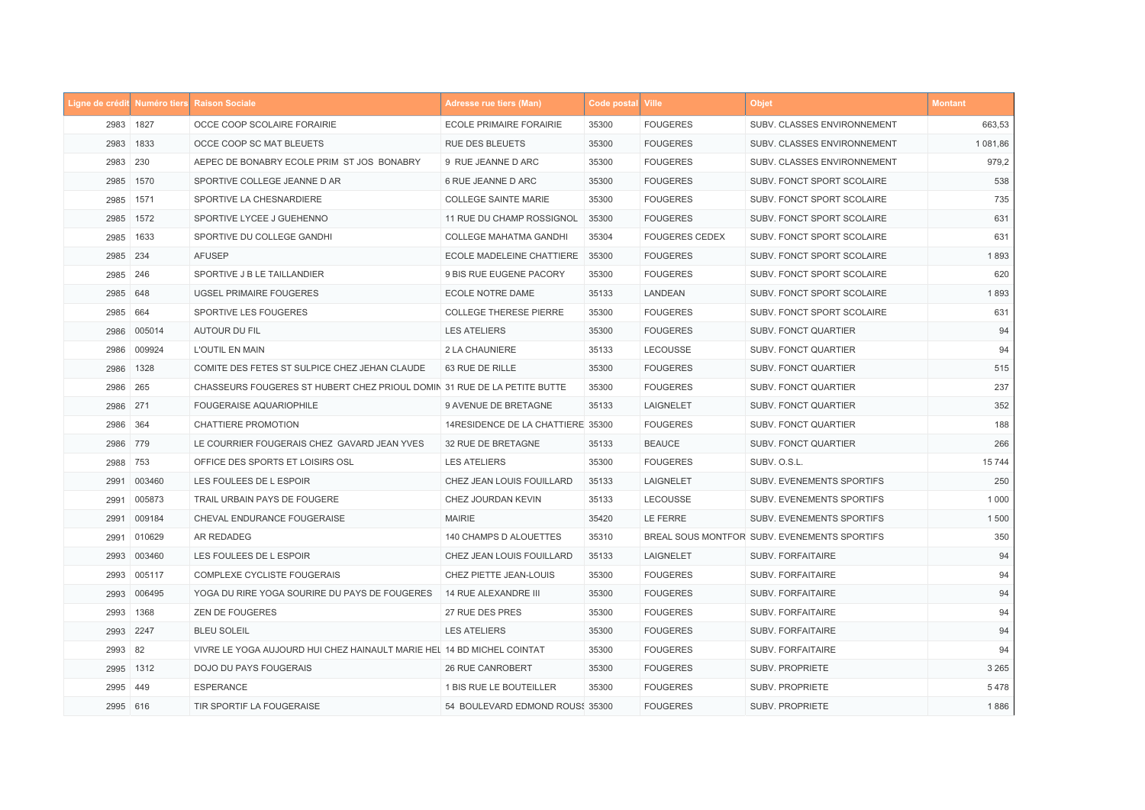|          |             | Ligne de crédit Numéro tiers Raison Sociale                              | <b>Adresse rue tiers (Man)</b>    | Code postal Ville |                       | <b>Objet</b>                                 | <b>Montant</b> |
|----------|-------------|--------------------------------------------------------------------------|-----------------------------------|-------------------|-----------------------|----------------------------------------------|----------------|
|          | 2983 1827   | OCCE COOP SCOLAIRE FORAIRIE                                              | <b>ECOLE PRIMAIRE FORAIRIE</b>    | 35300             | <b>FOUGERES</b>       | SUBV. CLASSES ENVIRONNEMENT                  | 663,53         |
|          | 2983 1833   | OCCE COOP SC MAT BLEUETS                                                 | <b>RUE DES BLEUETS</b>            | 35300             | <b>FOUGERES</b>       | SUBV. CLASSES ENVIRONNEMENT                  | 1 081,86       |
| 2983     | 230         | AEPEC DE BONABRY ECOLE PRIM ST JOS BONABRY                               | 9 RUE JEANNE D ARC                | 35300             | <b>FOUGERES</b>       | SUBV. CLASSES ENVIRONNEMENT                  | 979,2          |
| 2985     | 1570        | SPORTIVE COLLEGE JEANNE D AR                                             | 6 RUE JEANNE D ARC                | 35300             | <b>FOUGERES</b>       | SUBV. FONCT SPORT SCOLAIRE                   | 538            |
|          | 2985 1571   | SPORTIVE LA CHESNARDIERE                                                 | <b>COLLEGE SAINTE MARIE</b>       | 35300             | <b>FOUGERES</b>       | SUBV. FONCT SPORT SCOLAIRE                   | 735            |
|          | 2985 1572   | SPORTIVE LYCEE J GUEHENNO                                                | 11 RUE DU CHAMP ROSSIGNOL         | 35300             | <b>FOUGERES</b>       | SUBV. FONCT SPORT SCOLAIRE                   | 631            |
| 2985     | 1633        | SPORTIVE DU COLLEGE GANDHI                                               | <b>COLLEGE MAHATMA GANDHI</b>     | 35304             | <b>FOUGERES CEDEX</b> | SUBV. FONCT SPORT SCOLAIRE                   | 631            |
| 2985     | 234         | <b>AFUSEP</b>                                                            | ECOLE MADELEINE CHATTIERE         | 35300             | <b>FOUGERES</b>       | SUBV. FONCT SPORT SCOLAIRE                   | 1893           |
| 2985 246 |             | SPORTIVE J B LE TAILLANDIER                                              | 9 BIS RUE EUGENE PACORY           | 35300             | <b>FOUGERES</b>       | SUBV. FONCT SPORT SCOLAIRE                   | 620            |
| 2985 648 |             | <b>UGSEL PRIMAIRE FOUGERES</b>                                           | ECOLE NOTRE DAME                  | 35133             | LANDEAN               | SUBV. FONCT SPORT SCOLAIRE                   | 1893           |
| 2985 664 |             | SPORTIVE LES FOUGERES                                                    | <b>COLLEGE THERESE PIERRE</b>     | 35300             | <b>FOUGERES</b>       | SUBV. FONCT SPORT SCOLAIRE                   | 631            |
| 2986     | 005014      | <b>AUTOUR DU FIL</b>                                                     | <b>LES ATELIERS</b>               | 35300             | <b>FOUGERES</b>       | <b>SUBV. FONCT QUARTIER</b>                  | 94             |
|          | 2986 009924 | L'OUTIL EN MAIN                                                          | 2 LA CHAUNIERE                    | 35133             | LECOUSSE              | SUBV. FONCT QUARTIER                         | 94             |
|          | 2986 1328   | COMITE DES FETES ST SULPICE CHEZ JEHAN CLAUDE                            | 63 RUE DE RILLE                   | 35300             | <b>FOUGERES</b>       | <b>SUBV. FONCT QUARTIER</b>                  | 515            |
| 2986     | 265         | CHASSEURS FOUGERES ST HUBERT CHEZ PRIOUL DOMIN 31 RUE DE LA PETITE BUTTE |                                   | 35300             | <b>FOUGERES</b>       | SUBV. FONCT QUARTIER                         | 237            |
| 2986 271 |             | <b>FOUGERAISE AQUARIOPHILE</b>                                           | 9 AVENUE DE BRETAGNE              | 35133             | LAIGNELET             | SUBV. FONCT QUARTIER                         | 352            |
| 2986 364 |             | <b>CHATTIERE PROMOTION</b>                                               | 14RESIDENCE DE LA CHATTIERE 35300 |                   | <b>FOUGERES</b>       | SUBV. FONCT QUARTIER                         | 188            |
| 2986 779 |             | LE COURRIER FOUGERAIS CHEZ GAVARD JEAN YVES                              | 32 RUE DE BRETAGNE                | 35133             | <b>BEAUCE</b>         | SUBV. FONCT QUARTIER                         | 266            |
| 2988 753 |             | OFFICE DES SPORTS ET LOISIRS OSL                                         | <b>LES ATELIERS</b>               | 35300             | <b>FOUGERES</b>       | SUBV. O.S.L.                                 | 15744          |
| 2991     | 003460      | LES FOULEES DE L ESPOIR                                                  | CHEZ JEAN LOUIS FOUILLARD         | 35133             | LAIGNELET             | SUBV. EVENEMENTS SPORTIFS                    | 250            |
|          | 2991 005873 | TRAIL URBAIN PAYS DE FOUGERE                                             | CHEZ JOURDAN KEVIN                | 35133             | LECOUSSE              | SUBV. EVENEMENTS SPORTIFS                    | 1 0 0 0        |
|          | 2991 009184 | CHEVAL ENDURANCE FOUGERAISE                                              | <b>MAIRIE</b>                     | 35420             | LE FERRE              | <b>SUBV. EVENEMENTS SPORTIFS</b>             | 1500           |
|          | 2991 010629 | AR REDADEG                                                               | 140 CHAMPS D ALOUETTES            | 35310             |                       | BREAL SOUS MONTFOR SUBV. EVENEMENTS SPORTIFS | 350            |
|          | 2993 003460 | LES FOULEES DE L ESPOIR                                                  | CHEZ JEAN LOUIS FOUILLARD         | 35133             | LAIGNELET             | SUBV. FORFAITAIRE                            | 94             |
|          | 2993 005117 | COMPLEXE CYCLISTE FOUGERAIS                                              | CHEZ PIETTE JEAN-LOUIS            | 35300             | <b>FOUGERES</b>       | SUBV. FORFAITAIRE                            | 94             |
|          | 2993 006495 | YOGA DU RIRE YOGA SOURIRE DU PAYS DE FOUGERES                            | 14 RUE ALEXANDRE III              | 35300             | <b>FOUGERES</b>       | SUBV. FORFAITAIRE                            | 94             |
|          | 2993 1368   | <b>ZEN DE FOUGERES</b>                                                   | 27 RUE DES PRES                   | 35300             | <b>FOUGERES</b>       | SUBV. FORFAITAIRE                            | 94             |
|          | 2993 2247   | <b>BLEU SOLEIL</b>                                                       | <b>LES ATELIERS</b>               | 35300             | <b>FOUGERES</b>       | <b>SUBV. FORFAITAIRE</b>                     | 94             |
| 2993 82  |             | VIVRE LE YOGA AUJOURD HUI CHEZ HAINAULT MARIE HEL 14 BD MICHEL COINTAT   |                                   | 35300             | <b>FOUGERES</b>       | <b>SUBV. FORFAITAIRE</b>                     | 94             |
|          | 2995 1312   | DOJO DU PAYS FOUGERAIS                                                   | <b>26 RUE CANROBERT</b>           | 35300             | <b>FOUGERES</b>       | <b>SUBV. PROPRIETE</b>                       | 3 2 6 5        |
| 2995 449 |             | <b>ESPERANCE</b>                                                         | 1 BIS RUE LE BOUTEILLER           | 35300             | <b>FOUGERES</b>       | SUBV. PROPRIETE                              | 5478           |
| 2995 616 |             | TIR SPORTIF LA FOUGERAISE                                                | 54 BOULEVARD EDMOND ROUS: 35300   |                   | <b>FOUGERES</b>       | <b>SUBV. PROPRIETE</b>                       | 1886           |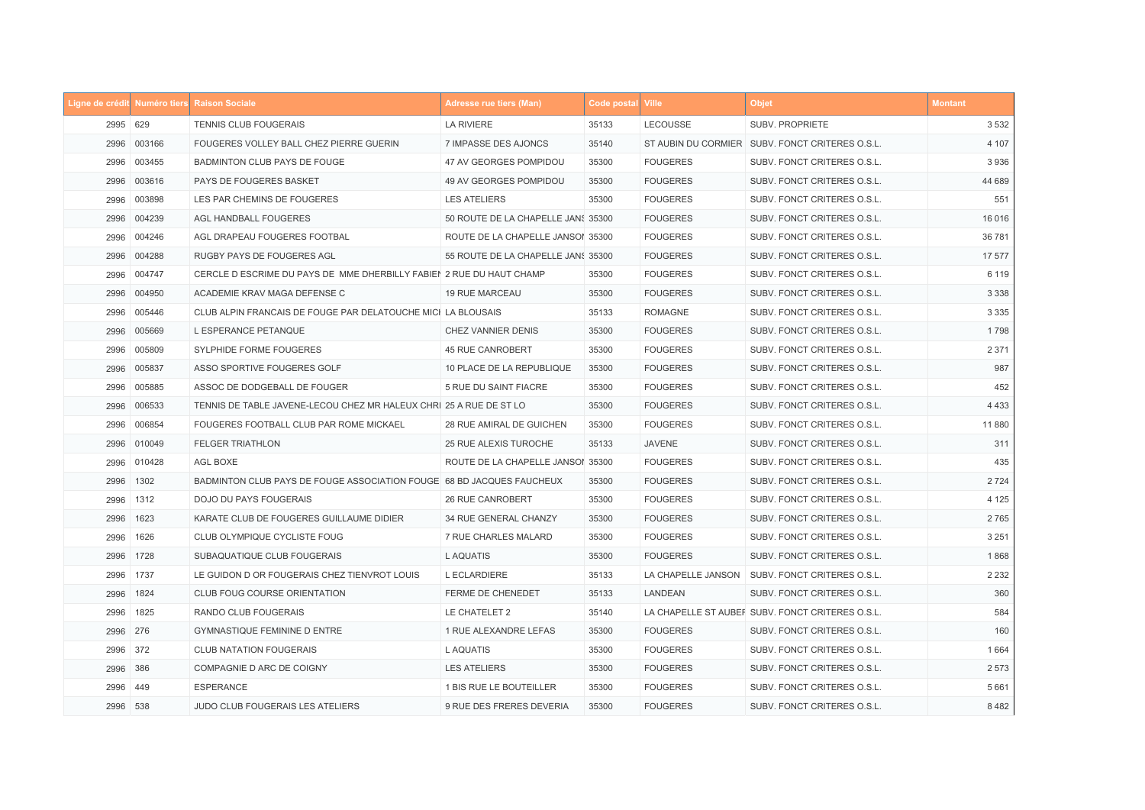|      |             | Ligne de crédit Numéro tiers Raison Sociale                           | <b>Adresse rue tiers (Man)</b>     | Code postal Ville |                    | <b>Objet</b>                                     | <b>Montant</b> |
|------|-------------|-----------------------------------------------------------------------|------------------------------------|-------------------|--------------------|--------------------------------------------------|----------------|
|      | 2995 629    | TENNIS CLUB FOUGERAIS                                                 | LA RIVIERE                         | 35133             | LECOUSSE           | SUBV. PROPRIETE                                  | 3 5 3 2        |
|      | 2996 003166 | FOUGERES VOLLEY BALL CHEZ PIERRE GUERIN                               | 7 IMPASSE DES AJONCS               | 35140             |                    | ST AUBIN DU CORMIER SUBV. FONCT CRITERES O.S.L.  | 4 107          |
| 2996 | 003455      | BADMINTON CLUB PAYS DE FOUGE                                          | 47 AV GEORGES POMPIDOU             | 35300             | <b>FOUGERES</b>    | SUBV. FONCT CRITERES O.S.L.                      | 3936           |
| 2996 | 003616      | PAYS DE FOUGERES BASKET                                               | 49 AV GEORGES POMPIDOU             | 35300             | <b>FOUGERES</b>    | SUBV. FONCT CRITERES O.S.L.                      | 44 689         |
| 2996 | 003898      | LES PAR CHEMINS DE FOUGERES                                           | <b>LES ATELIERS</b>                | 35300             | <b>FOUGERES</b>    | SUBV. FONCT CRITERES O.S.L.                      | 551            |
|      | 2996 004239 | AGL HANDBALL FOUGERES                                                 | 50 ROUTE DE LA CHAPELLE JANS 35300 |                   | <b>FOUGERES</b>    | SUBV. FONCT CRITERES O.S.L.                      | 16 0 16        |
| 2996 | 004246      | AGL DRAPEAU FOUGERES FOOTBAL                                          | ROUTE DE LA CHAPELLE JANSOI 35300  |                   | <b>FOUGERES</b>    | SUBV. FONCT CRITERES O.S.L.                      | 36 781         |
| 2996 | 004288      | RUGBY PAYS DE FOUGERES AGL                                            | 55 ROUTE DE LA CHAPELLE JANS 35300 |                   | <b>FOUGERES</b>    | SUBV. FONCT CRITERES O.S.L.                      | 17 577         |
| 2996 | 004747      | CERCLE D ESCRIME DU PAYS DE MME DHERBILLY FABIEN 2 RUE DU HAUT CHAMP  |                                    | 35300             | <b>FOUGERES</b>    | SUBV. FONCT CRITERES O.S.L.                      | 6 1 1 9        |
|      | 2996 004950 | ACADEMIE KRAV MAGA DEFENSE C                                          | <b>19 RUE MARCEAU</b>              | 35300             | <b>FOUGERES</b>    | SUBV. FONCT CRITERES O.S.L.                      | 3 3 3 8        |
| 2996 | 005446      | CLUB ALPIN FRANCAIS DE FOUGE PAR DELATOUCHE MICI LA BLOUSAIS          |                                    | 35133             | <b>ROMAGNE</b>     | SUBV. FONCT CRITERES O.S.L.                      | 3 3 3 5        |
| 2996 | 005669      | L ESPERANCE PETANQUE                                                  | CHEZ VANNIER DENIS                 | 35300             | <b>FOUGERES</b>    | SUBV. FONCT CRITERES O.S.L.                      | 1798           |
| 2996 | 005809      | SYLPHIDE FORME FOUGERES                                               | <b>45 RUE CANROBERT</b>            | 35300             | <b>FOUGERES</b>    | SUBV. FONCT CRITERES O.S.L.                      | 2 3 7 1        |
| 2996 | 005837      | ASSO SPORTIVE FOUGERES GOLF                                           | 10 PLACE DE LA REPUBLIQUE          | 35300             | <b>FOUGERES</b>    | SUBV. FONCT CRITERES O.S.L.                      | 987            |
| 2996 | 005885      | ASSOC DE DODGEBALL DE FOUGER                                          | 5 RUE DU SAINT FIACRE              | 35300             | <b>FOUGERES</b>    | SUBV. FONCT CRITERES O.S.L.                      | 452            |
| 2996 | 006533      | TENNIS DE TABLE JAVENE-LECOU CHEZ MR HALEUX CHRI 25 A RUE DE ST LO    |                                    | 35300             | <b>FOUGERES</b>    | SUBV. FONCT CRITERES O.S.L.                      | 4 4 3 3        |
| 2996 | 006854      | FOUGERES FOOTBALL CLUB PAR ROME MICKAEL                               | 28 RUE AMIRAL DE GUICHEN           | 35300             | <b>FOUGERES</b>    | SUBV. FONCT CRITERES O.S.L.                      | 11 8 8 0       |
|      | 2996 010049 | <b>FELGER TRIATHLON</b>                                               | 25 RUE ALEXIS TUROCHE              | 35133             | <b>JAVENE</b>      | SUBV. FONCT CRITERES O.S.L.                      | 311            |
| 2996 | 010428      | AGL BOXE                                                              | ROUTE DE LA CHAPELLE JANSOI 35300  |                   | <b>FOUGERES</b>    | SUBV. FONCT CRITERES O.S.L.                      | 435            |
| 2996 | 1302        | BADMINTON CLUB PAYS DE FOUGE ASSOCIATION FOUGE 68 BD JACQUES FAUCHEUX |                                    | 35300             | <b>FOUGERES</b>    | SUBV. FONCT CRITERES O.S.L.                      | 2 7 2 4        |
| 2996 | 1312        | DOJO DU PAYS FOUGERAIS                                                | <b>26 RUE CANROBERT</b>            | 35300             | <b>FOUGERES</b>    | SUBV. FONCT CRITERES O.S.L.                      | 4 1 2 5        |
|      | 2996 1623   | KARATE CLUB DE FOUGERES GUILLAUME DIDIER                              | 34 RUE GENERAL CHANZY              | 35300             | <b>FOUGERES</b>    | SUBV. FONCT CRITERES O.S.L.                      | 2765           |
|      | 2996 1626   | CLUB OLYMPIQUE CYCLISTE FOUG                                          | 7 RUE CHARLES MALARD               | 35300             | <b>FOUGERES</b>    | SUBV. FONCT CRITERES O.S.L.                      | 3 2 5 1        |
|      | 2996 1728   | SUBAQUATIQUE CLUB FOUGERAIS                                           | L AQUATIS                          | 35300             | <b>FOUGERES</b>    | SUBV. FONCT CRITERES O.S.L.                      | 1868           |
|      | 2996 1737   | LE GUIDON D OR FOUGERAIS CHEZ TIENVROT LOUIS                          | <b>L ECLARDIERE</b>                | 35133             | LA CHAPELLE JANSON | SUBV. FONCT CRITERES O.S.L.                      | 2 2 3 2        |
|      | 2996 1824   | CLUB FOUG COURSE ORIENTATION                                          | <b>FERME DE CHENEDET</b>           | 35133             | LANDEAN            | SUBV. FONCT CRITERES O.S.L.                      | 360            |
| 2996 | 1825        | RANDO CLUB FOUGERAIS                                                  | LE CHATELET 2                      | 35140             |                    | LA CHAPELLE ST AUBER SUBV. FONCT CRITERES O.S.L. | 584            |
| 2996 | 276         | <b>GYMNASTIQUE FEMININE D ENTRE</b>                                   | 1 RUE ALEXANDRE LEFAS              | 35300             | <b>FOUGERES</b>    | SUBV. FONCT CRITERES O.S.L.                      | 160            |
|      | 2996 372    | <b>CLUB NATATION FOUGERAIS</b>                                        | L AQUATIS                          | 35300             | <b>FOUGERES</b>    | SUBV. FONCT CRITERES O.S.L.                      | 1664           |
|      | 2996 386    | COMPAGNIE D ARC DE COIGNY                                             | <b>LES ATELIERS</b>                | 35300             | <b>FOUGERES</b>    | SUBV. FONCT CRITERES O.S.L.                      | 2 5 7 3        |
|      | 2996 449    | <b>ESPERANCE</b>                                                      | 1 BIS RUE LE BOUTEILLER            | 35300             | <b>FOUGERES</b>    | SUBV. FONCT CRITERES O.S.L.                      | 5 6 6 1        |
|      | 2996 538    | JUDO CLUB FOUGERAIS LES ATELIERS                                      | 9 RUE DES FRERES DEVERIA           | 35300             | <b>FOUGERES</b>    | SUBV. FONCT CRITERES O.S.L.                      | 8482           |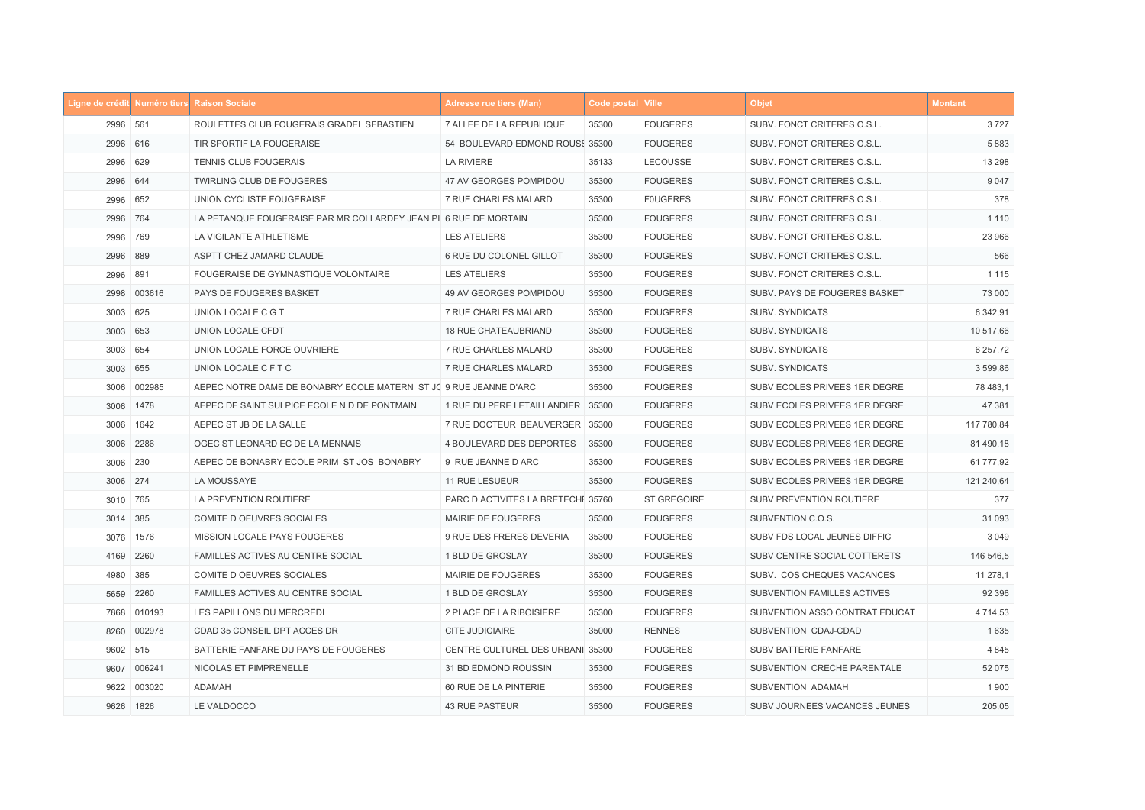|      |             | Ligne de crédit Numéro tiers Raison Sociale                       | <b>Adresse rue tiers (Man)</b>     | Code postal Ville |                    | <b>Objet</b>                   | <b>Montant</b> |
|------|-------------|-------------------------------------------------------------------|------------------------------------|-------------------|--------------------|--------------------------------|----------------|
|      | 2996 561    | ROULETTES CLUB FOUGERAIS GRADEL SEBASTIEN                         | 7 ALLEE DE LA REPUBLIQUE           | 35300             | <b>FOUGERES</b>    | SUBV. FONCT CRITERES O.S.L.    | 3727           |
|      | 2996 616    | TIR SPORTIF LA FOUGERAISE                                         | 54 BOULEVARD EDMOND ROUS: 35300    |                   | <b>FOUGERES</b>    | SUBV. FONCT CRITERES O.S.L.    | 5883           |
|      | 2996 629    | <b>TENNIS CLUB FOUGERAIS</b>                                      | <b>LA RIVIERE</b>                  | 35133             | LECOUSSE           | SUBV. FONCT CRITERES O.S.L.    | 13 2 98        |
|      | 2996 644    | TWIRLING CLUB DE FOUGERES                                         | 47 AV GEORGES POMPIDOU             | 35300             | <b>FOUGERES</b>    | SUBV. FONCT CRITERES O.S.L.    | 9 0 4 7        |
|      | 2996 652    | UNION CYCLISTE FOUGERAISE                                         | 7 RUE CHARLES MALARD               | 35300             | <b>FOUGERES</b>    | SUBV. FONCT CRITERES O.S.L.    | 378            |
|      | 2996 764    | LA PETANQUE FOUGERAISE PAR MR COLLARDEY JEAN PI 6 RUE DE MORTAIN  |                                    | 35300             | <b>FOUGERES</b>    | SUBV. FONCT CRITERES O.S.L.    | 1 1 1 0        |
|      | 2996 769    | LA VIGILANTE ATHLETISME                                           | <b>LES ATELIERS</b>                | 35300             | <b>FOUGERES</b>    | SUBV. FONCT CRITERES O.S.L.    | 23 966         |
| 2996 | 889         | ASPTT CHEZ JAMARD CLAUDE                                          | 6 RUE DU COLONEL GILLOT            | 35300             | <b>FOUGERES</b>    | SUBV. FONCT CRITERES O.S.L.    | 566            |
| 2996 | 891         | FOUGERAISE DE GYMNASTIQUE VOLONTAIRE                              | <b>LES ATELIERS</b>                | 35300             | <b>FOUGERES</b>    | SUBV. FONCT CRITERES O.S.L.    | 1 1 1 5        |
|      | 2998 003616 | PAYS DE FOUGERES BASKET                                           | 49 AV GEORGES POMPIDOU             | 35300             | <b>FOUGERES</b>    | SUBV. PAYS DE FOUGERES BASKET  | 73 000         |
|      | 3003 625    | UNION LOCALE C G T                                                | 7 RUE CHARLES MALARD               | 35300             | <b>FOUGERES</b>    | SUBV. SYNDICATS                | 6 342,91       |
|      | 3003 653    | UNION LOCALE CFDT                                                 | <b>18 RUE CHATEAUBRIAND</b>        | 35300             | <b>FOUGERES</b>    | SUBV. SYNDICATS                | 10 517,66      |
|      | 3003 654    | UNION LOCALE FORCE OUVRIERE                                       | 7 RUE CHARLES MALARD               | 35300             | <b>FOUGERES</b>    | SUBV. SYNDICATS                | 6 257,72       |
|      | 3003 655    | UNION LOCALE C F T C                                              | 7 RUE CHARLES MALARD               | 35300             | <b>FOUGERES</b>    | SUBV. SYNDICATS                | 3 599,86       |
| 3006 | 002985      | AEPEC NOTRE DAME DE BONABRY ECOLE MATERN ST JC 9 RUE JEANNE D'ARC |                                    | 35300             | <b>FOUGERES</b>    | SUBV ECOLES PRIVEES 1ER DEGRE  | 78 483,1       |
| 3006 | 1478        | AEPEC DE SAINT SULPICE ECOLE N D DE PONTMAIN                      | 1 RUE DU PERE LETAILLANDIER        | 35300             | <b>FOUGERES</b>    | SUBV ECOLES PRIVEES 1ER DEGRE  | 47 381         |
| 3006 | 1642        | AEPEC ST JB DE LA SALLE                                           | 7 RUE DOCTEUR BEAUVERGER           | 35300             | <b>FOUGERES</b>    | SUBV ECOLES PRIVEES 1ER DEGRE  | 117 780,84     |
|      | 3006 2286   | OGEC ST LEONARD EC DE LA MENNAIS                                  | 4 BOULEVARD DES DEPORTES           | 35300             | <b>FOUGERES</b>    | SUBV ECOLES PRIVEES 1ER DEGRE  | 81 490,18      |
| 3006 | 230         | AEPEC DE BONABRY ECOLE PRIM ST JOS BONABRY                        | 9 RUE JEANNE D ARC                 | 35300             | <b>FOUGERES</b>    | SUBV ECOLES PRIVEES 1ER DEGRE  | 61 777,92      |
|      | 3006 274    | LA MOUSSAYE                                                       | 11 RUE LESUEUR                     | 35300             | <b>FOUGERES</b>    | SUBV ECOLES PRIVEES 1ER DEGRE  | 121 240,64     |
|      | 3010 765    | LA PREVENTION ROUTIERE                                            | PARC D ACTIVITES LA BRETECHI 35760 |                   | <b>ST GREGOIRE</b> | SUBV PREVENTION ROUTIERE       | 377            |
|      | 3014 385    | COMITE D OEUVRES SOCIALES                                         | MAIRIE DE FOUGERES                 | 35300             | <b>FOUGERES</b>    | SUBVENTION C.O.S.              | 31 093         |
|      | 3076 1576   | MISSION LOCALE PAYS FOUGERES                                      | <b>9 RUE DES FRERES DEVERIA</b>    | 35300             | <b>FOUGERES</b>    | SUBV FDS LOCAL JEUNES DIFFIC   | 3 0 4 9        |
|      | 4169 2260   | <b>FAMILLES ACTIVES AU CENTRE SOCIAL</b>                          | 1 BLD DE GROSLAY                   | 35300             | <b>FOUGERES</b>    | SUBV CENTRE SOCIAL COTTERETS   | 146 546,5      |
|      | 4980 385    | COMITE D OEUVRES SOCIALES                                         | MAIRIE DE FOUGERES                 | 35300             | <b>FOUGERES</b>    | SUBV. COS CHEQUES VACANCES     | 11 278,1       |
|      | 5659 2260   | <b>FAMILLES ACTIVES AU CENTRE SOCIAL</b>                          | 1 BLD DE GROSLAY                   | 35300             | <b>FOUGERES</b>    | SUBVENTION FAMILLES ACTIVES    | 92 396         |
|      | 7868 010193 | LES PAPILLONS DU MERCREDI                                         | 2 PLACE DE LA RIBOISIERE           | 35300             | <b>FOUGERES</b>    | SUBVENTION ASSO CONTRAT EDUCAT | 4 7 1 4 , 5 3  |
|      | 8260 002978 | CDAD 35 CONSEIL DPT ACCES DR                                      | <b>CITE JUDICIAIRE</b>             | 35000             | <b>RENNES</b>      | SUBVENTION CDAJ-CDAD           | 1635           |
|      | 9602 515    | BATTERIE FANFARE DU PAYS DE FOUGERES                              | CENTRE CULTUREL DES URBANI 35300   |                   | <b>FOUGERES</b>    | SUBV BATTERIE FANFARE          | 4 8 4 5        |
|      | 9607 006241 | NICOLAS ET PIMPRENELLE                                            | 31 BD EDMOND ROUSSIN               | 35300             | <b>FOUGERES</b>    | SUBVENTION CRECHE PARENTALE    | 52 075         |
| 9622 | 003020      | ADAMAH                                                            | 60 RUE DE LA PINTERIE              | 35300             | <b>FOUGERES</b>    | SUBVENTION ADAMAH              | 1900           |
|      | 9626 1826   | LE VALDOCCO                                                       | 43 RUE PASTEUR                     | 35300             | <b>FOUGERES</b>    | SUBV JOURNEES VACANCES JEUNES  | 205,05         |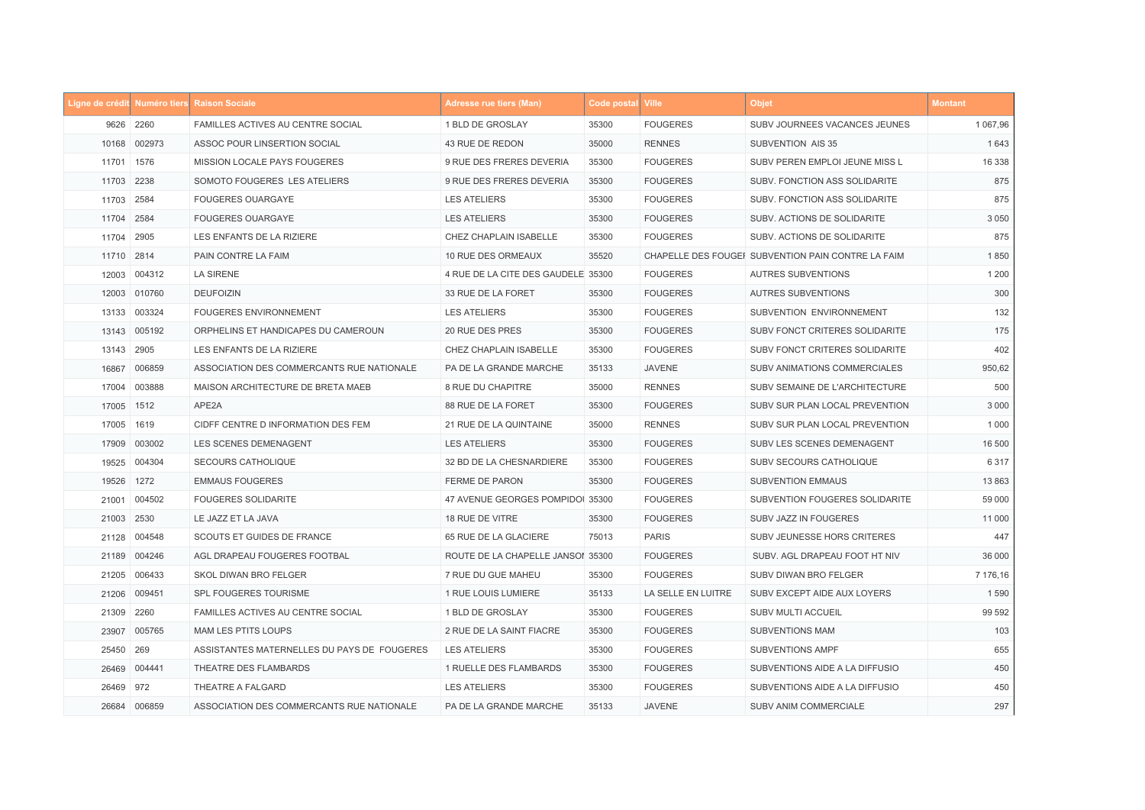|            |              | Ligne de crédit Numéro tiers Raison Sociale | <b>Adresse rue tiers (Man)</b>     | Code postal Ville |                    | <b>Objet</b>                                       | <b>Montant</b> |
|------------|--------------|---------------------------------------------|------------------------------------|-------------------|--------------------|----------------------------------------------------|----------------|
|            | 9626 2260    | FAMILLES ACTIVES AU CENTRE SOCIAL           | 1 BLD DE GROSLAY                   | 35300             | <b>FOUGERES</b>    | SUBV JOURNEES VACANCES JEUNES                      | 1 067,96       |
|            | 10168 002973 | ASSOC POUR LINSERTION SOCIAL                | 43 RUE DE REDON                    | 35000             | <b>RENNES</b>      | SUBVENTION AIS 35                                  | 1643           |
| 11701 1576 |              | MISSION LOCALE PAYS FOUGERES                | 9 RUE DES FRERES DEVERIA           | 35300             | <b>FOUGERES</b>    | SUBV PEREN EMPLOI JEUNE MISS L                     | 16 338         |
| 11703 2238 |              | SOMOTO FOUGERES LES ATELIERS                | 9 RUE DES FRERES DEVERIA           | 35300             | <b>FOUGERES</b>    | SUBV. FONCTION ASS SOLIDARITE                      | 875            |
| 11703 2584 |              | FOUGERES OUARGAYE                           | <b>LES ATELIERS</b>                | 35300             | <b>FOUGERES</b>    | SUBV. FONCTION ASS SOLIDARITE                      | 875            |
| 11704 2584 |              | <b>FOUGERES OUARGAYE</b>                    | <b>LES ATELIERS</b>                | 35300             | <b>FOUGERES</b>    | SUBV. ACTIONS DE SOLIDARITE                        | 3 0 5 0        |
| 11704      | 2905         | LES ENFANTS DE LA RIZIERE                   | CHEZ CHAPLAIN ISABELLE             | 35300             | <b>FOUGERES</b>    | SUBV. ACTIONS DE SOLIDARITE                        | 875            |
| 11710 2814 |              | PAIN CONTRE LA FAIM                         | 10 RUE DES ORMEAUX                 | 35520             |                    | CHAPELLE DES FOUGEF SUBVENTION PAIN CONTRE LA FAIM | 1850           |
|            | 12003 004312 | <b>LA SIRENE</b>                            | 4 RUE DE LA CITE DES GAUDELE 35300 |                   | <b>FOUGERES</b>    | AUTRES SUBVENTIONS                                 | 1 200          |
|            | 12003 010760 | <b>DEUFOIZIN</b>                            | 33 RUE DE LA FORET                 | 35300             | <b>FOUGERES</b>    | <b>AUTRES SUBVENTIONS</b>                          | 300            |
| 13133      | 003324       | FOUGERES ENVIRONNEMENT                      | <b>LES ATELIERS</b>                | 35300             | <b>FOUGERES</b>    | SUBVENTION ENVIRONNEMENT                           | 132            |
|            | 13143 005192 | ORPHELINS ET HANDICAPES DU CAMEROUN         | 20 RUE DES PRES                    | 35300             | <b>FOUGERES</b>    | SUBV FONCT CRITERES SOLIDARITE                     | 175            |
| 13143 2905 |              | LES ENFANTS DE LA RIZIERE                   | CHEZ CHAPLAIN ISABELLE             | 35300             | <b>FOUGERES</b>    | SUBV FONCT CRITERES SOLIDARITE                     | 402            |
| 16867      | 006859       | ASSOCIATION DES COMMERCANTS RUE NATIONALE   | PA DE LA GRANDE MARCHE             | 35133             | <b>JAVENE</b>      | SUBV ANIMATIONS COMMERCIALES                       | 950,62         |
| 17004      | 003888       | MAISON ARCHITECTURE DE BRETA MAEB           | 8 RUE DU CHAPITRE                  | 35000             | <b>RENNES</b>      | SUBV SEMAINE DE L'ARCHITECTURE                     | 500            |
| 17005 1512 |              | APE2A                                       | 88 RUE DE LA FORET                 | 35300             | <b>FOUGERES</b>    | SUBV SUR PLAN LOCAL PREVENTION                     | 3 0 0 0        |
| 17005      | 1619         | CIDFF CENTRE D INFORMATION DES FEM          | 21 RUE DE LA QUINTAINE             | 35000             | <b>RENNES</b>      | SUBV SUR PLAN LOCAL PREVENTION                     | 1 0 0 0        |
|            | 17909 003002 | LES SCENES DEMENAGENT                       | <b>LES ATELIERS</b>                | 35300             | <b>FOUGERES</b>    | SUBV LES SCENES DEMENAGENT                         | 16 500         |
| 19525      | 004304       | <b>SECOURS CATHOLIQUE</b>                   | 32 BD DE LA CHESNARDIERE           | 35300             | <b>FOUGERES</b>    | SUBV SECOURS CATHOLIQUE                            | 6 3 1 7        |
| 19526      | 1272         | <b>EMMAUS FOUGERES</b>                      | <b>FERME DE PARON</b>              | 35300             | <b>FOUGERES</b>    | <b>SUBVENTION EMMAUS</b>                           | 13 863         |
|            | 21001 004502 | <b>FOUGERES SOLIDARITE</b>                  | 47 AVENUE GEORGES POMPIDOI 35300   |                   | <b>FOUGERES</b>    | SUBVENTION FOUGERES SOLIDARITE                     | 59 000         |
| 21003 2530 |              | LE JAZZ ET LA JAVA                          | 18 RUE DE VITRE                    | 35300             | <b>FOUGERES</b>    | SUBV JAZZ IN FOUGERES                              | 11 000         |
|            | 21128 004548 | SCOUTS ET GUIDES DE FRANCE                  | 65 RUE DE LA GLACIERE              | 75013             | <b>PARIS</b>       | SUBV JEUNESSE HORS CRITERES                        | 447            |
|            | 21189 004246 | AGL DRAPEAU FOUGERES FOOTBAL                | ROUTE DE LA CHAPELLE JANSOI 35300  |                   | <b>FOUGERES</b>    | SUBV. AGL DRAPEAU FOOT HT NIV                      | 36 000         |
|            | 21205 006433 | SKOL DIWAN BRO FELGER                       | 7 RUE DU GUE MAHEU                 | 35300             | <b>FOUGERES</b>    | SUBV DIWAN BRO FELGER                              | 7 176,16       |
|            | 21206 009451 | SPL FOUGERES TOURISME                       | 1 RUE LOUIS LUMIERE                | 35133             | LA SELLE EN LUITRE | SUBV EXCEPT AIDE AUX LOYERS                        | 1590           |
| 21309 2260 |              | FAMILLES ACTIVES AU CENTRE SOCIAL           | 1 BLD DE GROSLAY                   | 35300             | <b>FOUGERES</b>    | SUBV MULTI ACCUEIL                                 | 99 592         |
|            | 23907 005765 | MAM LES PTITS LOUPS                         | 2 RUE DE LA SAINT FIACRE           | 35300             | <b>FOUGERES</b>    | <b>SUBVENTIONS MAM</b>                             | 103            |
| 25450 269  |              | ASSISTANTES MATERNELLES DU PAYS DE FOUGERES | <b>LES ATELIERS</b>                | 35300             | <b>FOUGERES</b>    | <b>SUBVENTIONS AMPF</b>                            | 655            |
|            | 26469 004441 | THEATRE DES FLAMBARDS                       | 1 RUELLE DES FLAMBARDS             | 35300             | <b>FOUGERES</b>    | SUBVENTIONS AIDE A LA DIFFUSIO                     | 450            |
| 26469 972  |              | THEATRE A FALGARD                           | <b>LES ATELIERS</b>                | 35300             | <b>FOUGERES</b>    | SUBVENTIONS AIDE A LA DIFFUSIO                     | 450            |
|            | 26684 006859 | ASSOCIATION DES COMMERCANTS RUE NATIONALE   | PA DE LA GRANDE MARCHE             | 35133             | <b>JAVENE</b>      | SUBV ANIM COMMERCIALE                              | 297            |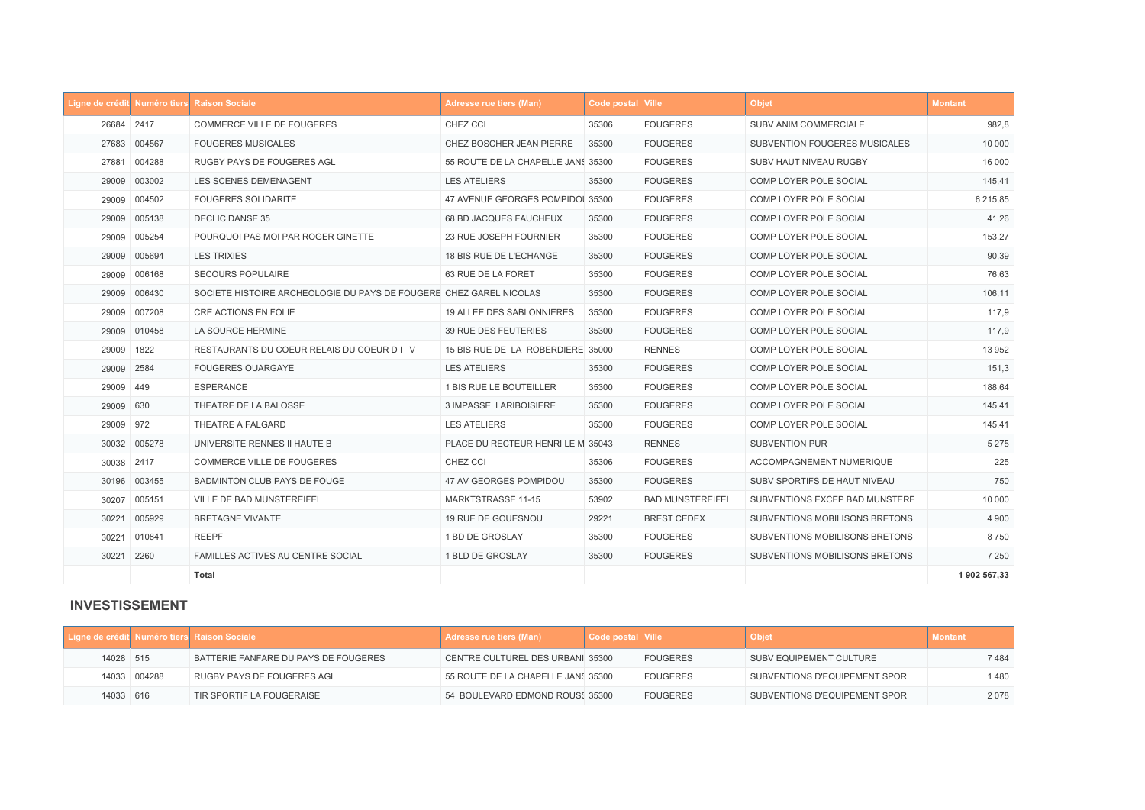|            |              | Ligne de crédit Numéro tiers Raison Sociale                        | Adresse rue tiers (Man)            | Code postal Ville |                         | <b>Objet</b>                   | <b>Montant</b> |
|------------|--------------|--------------------------------------------------------------------|------------------------------------|-------------------|-------------------------|--------------------------------|----------------|
| 26684 2417 |              | COMMERCE VILLE DE FOUGERES                                         | CHEZ CCI                           | 35306             | <b>FOUGERES</b>         | SUBV ANIM COMMERCIALE          | 982,8          |
|            | 27683 004567 | <b>FOUGERES MUSICALES</b>                                          | CHEZ BOSCHER JEAN PIERRE           | 35300             | <b>FOUGERES</b>         | SUBVENTION FOUGERES MUSICALES  | 10 000         |
| 27881      | 004288       | RUGBY PAYS DE FOUGERES AGL                                         | 55 ROUTE DE LA CHAPELLE JANS 35300 |                   | <b>FOUGERES</b>         | <b>SUBV HAUT NIVEAU RUGBY</b>  | 16 000         |
| 29009      | 003002       | LES SCENES DEMENAGENT                                              | <b>LES ATELIERS</b>                | 35300             | <b>FOUGERES</b>         | COMP LOYER POLE SOCIAL         | 145,41         |
| 29009      | 004502       | <b>FOUGERES SOLIDARITE</b>                                         | 47 AVENUE GEORGES POMPIDOI 35300   |                   | <b>FOUGERES</b>         | COMP LOYER POLE SOCIAL         | 6 215,85       |
|            | 29009 005138 | <b>DECLIC DANSE 35</b>                                             | <b>68 BD JACQUES FAUCHEUX</b>      | 35300             | <b>FOUGERES</b>         | <b>COMP LOYER POLE SOCIAL</b>  | 41,26          |
|            | 29009 005254 | POURQUOI PAS MOI PAR ROGER GINETTE                                 | 23 RUE JOSEPH FOURNIER             | 35300             | <b>FOUGERES</b>         | COMP LOYER POLE SOCIAL         | 153,27         |
|            | 29009 005694 | <b>LES TRIXIES</b>                                                 | 18 BIS RUE DE L'ECHANGE            | 35300             | <b>FOUGERES</b>         | COMP LOYER POLE SOCIAL         | 90,39          |
| 29009      | 006168       | SECOURS POPULAIRE                                                  | 63 RUE DE LA FORET                 | 35300             | <b>FOUGERES</b>         | COMP LOYER POLE SOCIAL         | 76,63          |
|            | 29009 006430 | SOCIETE HISTOIRE ARCHEOLOGIE DU PAYS DE FOUGERE CHEZ GAREL NICOLAS |                                    | 35300             | <b>FOUGERES</b>         | COMP LOYER POLE SOCIAL         | 106,11         |
| 29009      | 007208       | <b>CRE ACTIONS EN FOLIE</b>                                        | 19 ALLEE DES SABLONNIERES          | 35300             | <b>FOUGERES</b>         | COMP LOYER POLE SOCIAL         | 117,9          |
|            | 29009 010458 | LA SOURCE HERMINE                                                  | 39 RUE DES FEUTERIES               | 35300             | <b>FOUGERES</b>         | COMP LOYER POLE SOCIAL         | 117,9          |
| 29009      | 1822         | RESTAURANTS DU COEUR RELAIS DU COEUR D I V                         | 15 BIS RUE DE LA ROBERDIERE 35000  |                   | <b>RENNES</b>           | COMP LOYER POLE SOCIAL         | 13 952         |
| 29009 2584 |              | <b>FOUGERES OUARGAYE</b>                                           | <b>LES ATELIERS</b>                | 35300             | <b>FOUGERES</b>         | COMP LOYER POLE SOCIAL         | 151,3          |
| 29009 449  |              | <b>ESPERANCE</b>                                                   | 1 BIS RUE LE BOUTEILLER            | 35300             | <b>FOUGERES</b>         | COMP LOYER POLE SOCIAL         | 188,64         |
| 29009 630  |              | THEATRE DE LA BALOSSE                                              | 3 IMPASSE LARIBOISIERE             | 35300             | <b>FOUGERES</b>         | COMP LOYER POLE SOCIAL         | 145,41         |
| 29009 972  |              | THEATRE A FALGARD                                                  | <b>LES ATELIERS</b>                | 35300             | <b>FOUGERES</b>         | COMP LOYER POLE SOCIAL         | 145,41         |
|            | 30032 005278 | UNIVERSITE RENNES II HAUTE B                                       | PLACE DU RECTEUR HENRI LE M 35043  |                   | <b>RENNES</b>           | <b>SUBVENTION PUR</b>          | 5 2 7 5        |
| 30038 2417 |              | COMMERCE VILLE DE FOUGERES                                         | CHEZ CCI                           | 35306             | <b>FOUGERES</b>         | ACCOMPAGNEMENT NUMERIQUE       | 225            |
| 30196      | 003455       | BADMINTON CLUB PAYS DE FOUGE                                       | 47 AV GEORGES POMPIDOU             | 35300             | <b>FOUGERES</b>         | SUBV SPORTIFS DE HAUT NIVEAU   | 750            |
| 30207      | 005151       | <b>VILLE DE BAD MUNSTEREIFEL</b>                                   | <b>MARKTSTRASSE 11-15</b>          | 53902             | <b>BAD MUNSTEREIFEL</b> | SUBVENTIONS EXCEP BAD MUNSTERE | 10 000         |
|            | 30221 005929 | <b>BRETAGNE VIVANTE</b>                                            | 19 RUE DE GOUESNOU                 | 29221             | <b>BREST CEDEX</b>      | SUBVENTIONS MOBILISONS BRETONS | 4 9 0 0        |
| 30221      | 010841       | <b>REEPF</b>                                                       | 1 BD DE GROSLAY                    | 35300             | <b>FOUGERES</b>         | SUBVENTIONS MOBILISONS BRETONS | 8750           |
| 30221 2260 |              | <b>FAMILLES ACTIVES AU CENTRE SOCIAL</b>                           | 1 BLD DE GROSLAY                   | 35300             | <b>FOUGERES</b>         | SUBVENTIONS MOBILISONS BRETONS | 7 2 5 0        |
|            |              | <b>Total</b>                                                       |                                    |                   |                         |                                | 1 902 567,33   |

## **INVESTISSEMENT**

|           |              | Ligne de crédit Numéro tiers Raison Sociale | <b>Adresse rue tiers (Man)</b>          | Code postal  Ville |                 | <b>Objet</b>                  | <b>Montant</b> |
|-----------|--------------|---------------------------------------------|-----------------------------------------|--------------------|-----------------|-------------------------------|----------------|
| 14028 515 |              | BATTERIE FANFARE DU PAYS DE FOUGERES        | <b>CENTRE CULTUREL DES URBANI 35300</b> |                    | <b>FOUGERES</b> | SUBV EQUIPEMENT CULTURE       | 7 484          |
|           | 14033 004288 | RUGBY PAYS DE FOUGERES AGL                  | 55 ROUTE DE LA CHAPELLE JANS 35300      |                    | <b>FOUGERES</b> | SUBVENTIONS D'EQUIPEMENT SPOR | 1 480          |
| 14033 616 |              | TIR SPORTIF LA FOUGERAISE                   | 54 BOULEVARD EDMOND ROUS: 35300         |                    | <b>FOUGERES</b> | SUBVENTIONS D'EQUIPEMENT SPOR | 2078           |